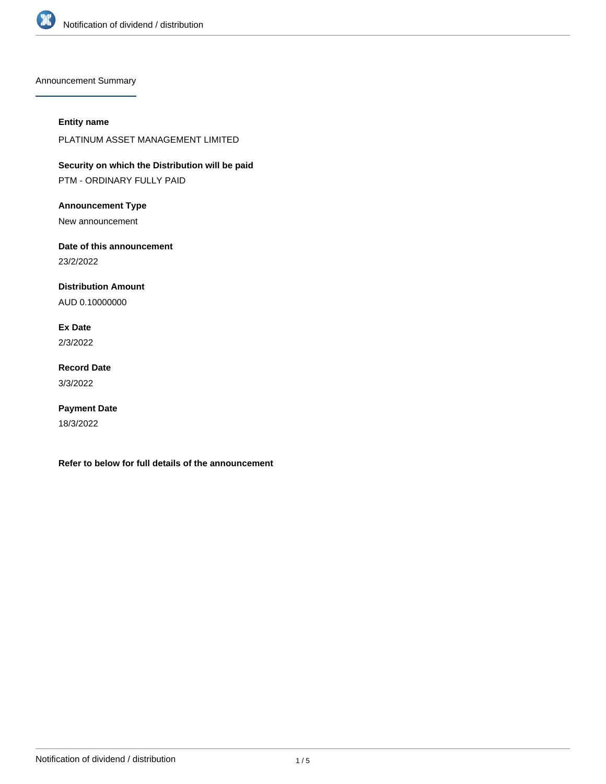

Announcement Summary

#### **Entity name**

PLATINUM ASSET MANAGEMENT LIMITED

**Security on which the Distribution will be paid** PTM - ORDINARY FULLY PAID

**Announcement Type**

New announcement

**Date of this announcement** 23/2/2022

**Distribution Amount**

AUD 0.10000000

**Ex Date** 2/3/2022

**Record Date** 3/3/2022

**Payment Date** 18/3/2022

**Refer to below for full details of the announcement**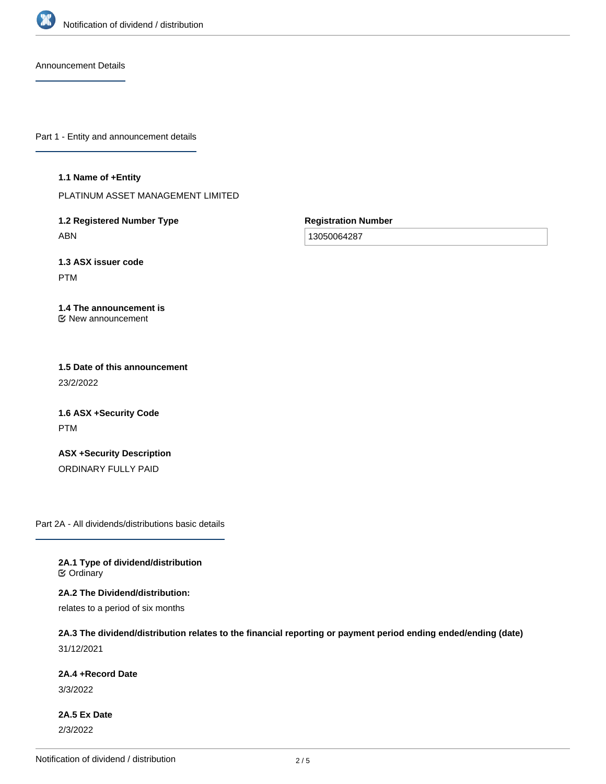

Announcement Details

Part 1 - Entity and announcement details

**1.1 Name of +Entity**

PLATINUM ASSET MANAGEMENT LIMITED

**1.2 Registered Number Type** ABN

**Registration Number**

13050064287

**1.3 ASX issuer code** PTM

**1.4 The announcement is** New announcement

**1.5 Date of this announcement** 23/2/2022

**1.6 ASX +Security Code** PTM

**ASX +Security Description** ORDINARY FULLY PAID

Part 2A - All dividends/distributions basic details

**2A.1 Type of dividend/distribution C** Ordinary

**2A.2 The Dividend/distribution:**

relates to a period of six months

**2A.3 The dividend/distribution relates to the financial reporting or payment period ending ended/ending (date)** 31/12/2021

**2A.4 +Record Date**

3/3/2022

**2A.5 Ex Date** 2/3/2022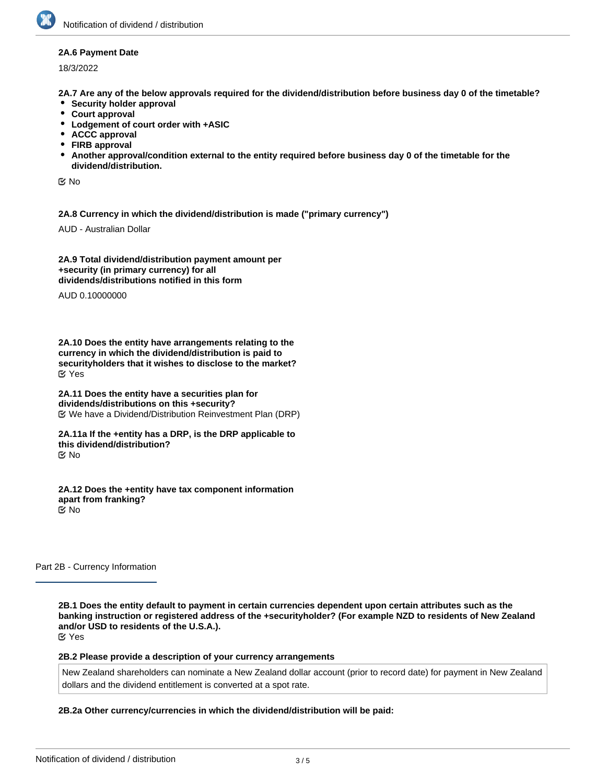#### **2A.6 Payment Date**

18/3/2022

**2A.7 Are any of the below approvals required for the dividend/distribution before business day 0 of the timetable?**

- **•** Security holder approval
- **Court approval**
- **Lodgement of court order with +ASIC**
- **ACCC approval**
- **FIRB approval**
- **Another approval/condition external to the entity required before business day 0 of the timetable for the dividend/distribution.**

No

**2A.8 Currency in which the dividend/distribution is made ("primary currency")**

AUD - Australian Dollar

**2A.9 Total dividend/distribution payment amount per +security (in primary currency) for all dividends/distributions notified in this form**

AUD 0.10000000

**2A.10 Does the entity have arrangements relating to the currency in which the dividend/distribution is paid to securityholders that it wishes to disclose to the market?** Yes

**2A.11 Does the entity have a securities plan for dividends/distributions on this +security?** We have a Dividend/Distribution Reinvestment Plan (DRP)

**2A.11a If the +entity has a DRP, is the DRP applicable to this dividend/distribution?** No

**2A.12 Does the +entity have tax component information apart from franking?** No

Part 2B - Currency Information

**2B.1 Does the entity default to payment in certain currencies dependent upon certain attributes such as the banking instruction or registered address of the +securityholder? (For example NZD to residents of New Zealand and/or USD to residents of the U.S.A.).** Yes

**2B.2 Please provide a description of your currency arrangements**

New Zealand shareholders can nominate a New Zealand dollar account (prior to record date) for payment in New Zealand dollars and the dividend entitlement is converted at a spot rate.

### **2B.2a Other currency/currencies in which the dividend/distribution will be paid:**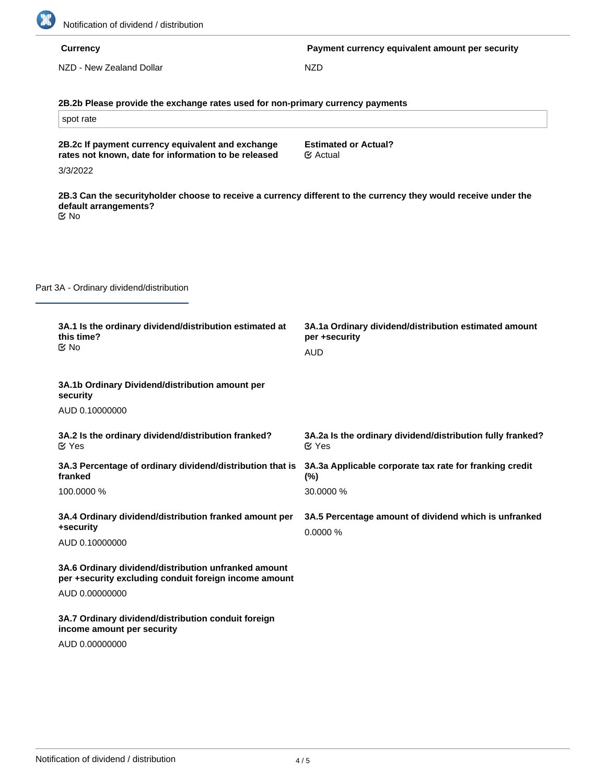

|                                          | <b>Currency</b>                                                                                                                                               | Payment currency equivalent amount per security                                      |
|------------------------------------------|---------------------------------------------------------------------------------------------------------------------------------------------------------------|--------------------------------------------------------------------------------------|
|                                          | NZD - New Zealand Dollar                                                                                                                                      | <b>NZD</b>                                                                           |
|                                          |                                                                                                                                                               |                                                                                      |
|                                          | 2B.2b Please provide the exchange rates used for non-primary currency payments                                                                                |                                                                                      |
|                                          | spot rate                                                                                                                                                     |                                                                                      |
|                                          | 2B.2c If payment currency equivalent and exchange<br>rates not known, date for information to be released<br>3/3/2022                                         | <b>Estimated or Actual?</b><br>$\mathfrak{S}$ Actual                                 |
|                                          | 2B.3 Can the securityholder choose to receive a currency different to the currency they would receive under the<br>default arrangements?<br>$\mathfrak{C}$ No |                                                                                      |
| Part 3A - Ordinary dividend/distribution |                                                                                                                                                               |                                                                                      |
|                                          | 3A.1 Is the ordinary dividend/distribution estimated at<br>this time?<br>$\mathfrak{C}$ No                                                                    | 3A.1a Ordinary dividend/distribution estimated amount<br>per +security<br><b>AUD</b> |
|                                          | 3A.1b Ordinary Dividend/distribution amount per<br>security                                                                                                   |                                                                                      |
|                                          | AUD 0.10000000                                                                                                                                                |                                                                                      |
|                                          | 3A.2 Is the ordinary dividend/distribution franked?<br>$\mathfrak{C}$ Yes                                                                                     | 3A.2a Is the ordinary dividend/distribution fully franked?<br>$\mathfrak{C}$ Yes     |
|                                          | 3A.3 Percentage of ordinary dividend/distribution that is<br>franked                                                                                          | 3A.3a Applicable corporate tax rate for franking credit<br>$(\%)$                    |
|                                          | 100.0000 %                                                                                                                                                    | 30.0000 %                                                                            |
|                                          | 3A.4 Ordinary dividend/distribution franked amount per<br>+security                                                                                           | 3A.5 Percentage amount of dividend which is unfranked<br>0.0000 %                    |
|                                          | AUD 0.10000000                                                                                                                                                |                                                                                      |
|                                          | 3A.6 Ordinary dividend/distribution unfranked amount<br>per +security excluding conduit foreign income amount                                                 |                                                                                      |
|                                          | AUD 0.00000000                                                                                                                                                |                                                                                      |
|                                          | 3A.7 Ordinary dividend/distribution conduit foreign<br>income amount per security                                                                             |                                                                                      |
|                                          | AUD 0.00000000                                                                                                                                                |                                                                                      |